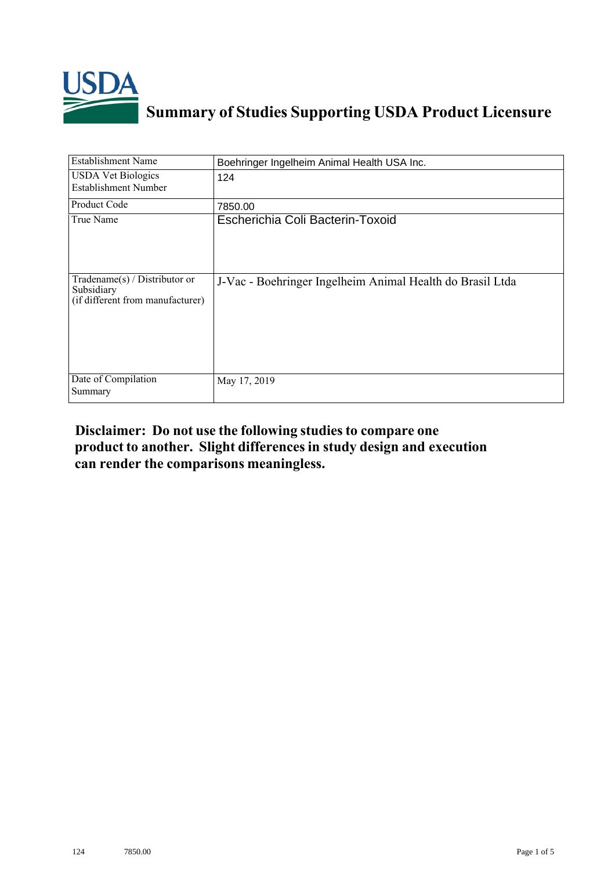

## **Summary of Studies Supporting USDA Product Licensure**

| <b>Establishment Name</b>                                                         | Boehringer Ingelheim Animal Health USA Inc.               |
|-----------------------------------------------------------------------------------|-----------------------------------------------------------|
| <b>USDA Vet Biologics</b><br><b>Establishment Number</b>                          | 124                                                       |
| Product Code                                                                      | 7850.00                                                   |
| True Name                                                                         | Escherichia Coli Bacterin-Toxoid                          |
| $Tradename(s) / Distributor$ or<br>Subsidiary<br>(if different from manufacturer) | J-Vac - Boehringer Ingelheim Animal Health do Brasil Ltda |
| Date of Compilation<br>Summary                                                    | May 17, 2019                                              |

## **Disclaimer: Do not use the following studiesto compare one product to another. Slight differencesin study design and execution can render the comparisons meaningless.**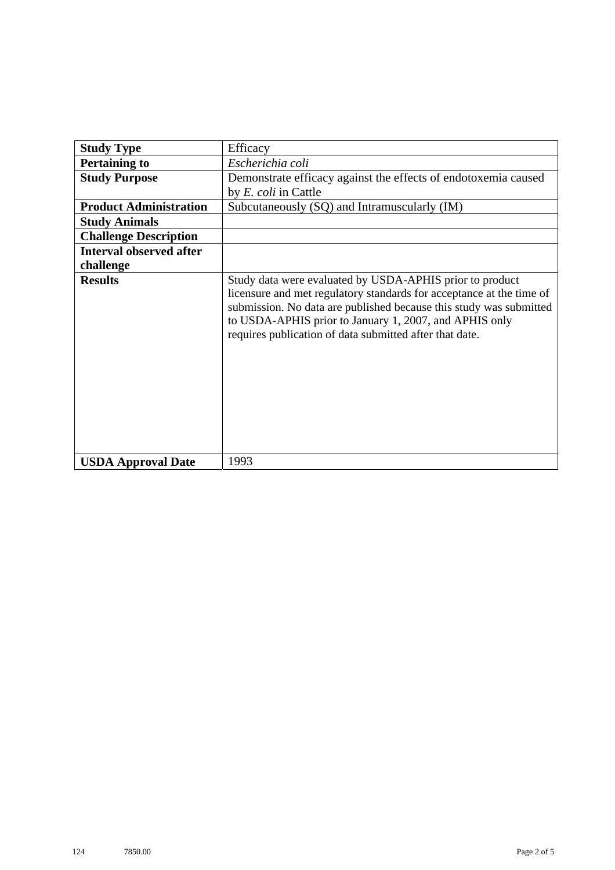| <b>Study Type</b>              | Efficacy                                                                                                                                                                                                                                                                                                                    |
|--------------------------------|-----------------------------------------------------------------------------------------------------------------------------------------------------------------------------------------------------------------------------------------------------------------------------------------------------------------------------|
| <b>Pertaining to</b>           | Escherichia coli                                                                                                                                                                                                                                                                                                            |
| <b>Study Purpose</b>           | Demonstrate efficacy against the effects of endotoxemia caused                                                                                                                                                                                                                                                              |
|                                | by <i>E. coli</i> in Cattle                                                                                                                                                                                                                                                                                                 |
| <b>Product Administration</b>  | Subcutaneously (SQ) and Intramuscularly (IM)                                                                                                                                                                                                                                                                                |
| <b>Study Animals</b>           |                                                                                                                                                                                                                                                                                                                             |
| <b>Challenge Description</b>   |                                                                                                                                                                                                                                                                                                                             |
| <b>Interval observed after</b> |                                                                                                                                                                                                                                                                                                                             |
| challenge                      |                                                                                                                                                                                                                                                                                                                             |
| <b>Results</b>                 | Study data were evaluated by USDA-APHIS prior to product<br>licensure and met regulatory standards for acceptance at the time of<br>submission. No data are published because this study was submitted<br>to USDA-APHIS prior to January 1, 2007, and APHIS only<br>requires publication of data submitted after that date. |
| <b>USDA Approval Date</b>      | 1993                                                                                                                                                                                                                                                                                                                        |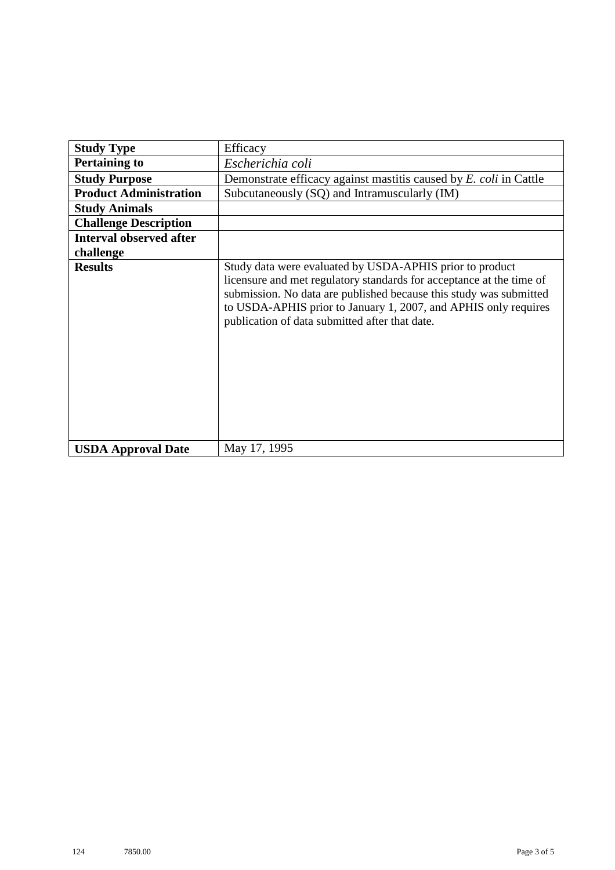| <b>Study Type</b>              | Efficacy                                                                                                                                                                                                                                                                                                                    |
|--------------------------------|-----------------------------------------------------------------------------------------------------------------------------------------------------------------------------------------------------------------------------------------------------------------------------------------------------------------------------|
| <b>Pertaining to</b>           | Escherichia coli                                                                                                                                                                                                                                                                                                            |
| <b>Study Purpose</b>           | Demonstrate efficacy against mastitis caused by E. coli in Cattle                                                                                                                                                                                                                                                           |
| <b>Product Administration</b>  | Subcutaneously (SQ) and Intramuscularly (IM)                                                                                                                                                                                                                                                                                |
| <b>Study Animals</b>           |                                                                                                                                                                                                                                                                                                                             |
| <b>Challenge Description</b>   |                                                                                                                                                                                                                                                                                                                             |
| <b>Interval observed after</b> |                                                                                                                                                                                                                                                                                                                             |
| challenge                      |                                                                                                                                                                                                                                                                                                                             |
| <b>Results</b>                 | Study data were evaluated by USDA-APHIS prior to product<br>licensure and met regulatory standards for acceptance at the time of<br>submission. No data are published because this study was submitted<br>to USDA-APHIS prior to January 1, 2007, and APHIS only requires<br>publication of data submitted after that date. |
| <b>USDA Approval Date</b>      | May 17, 1995                                                                                                                                                                                                                                                                                                                |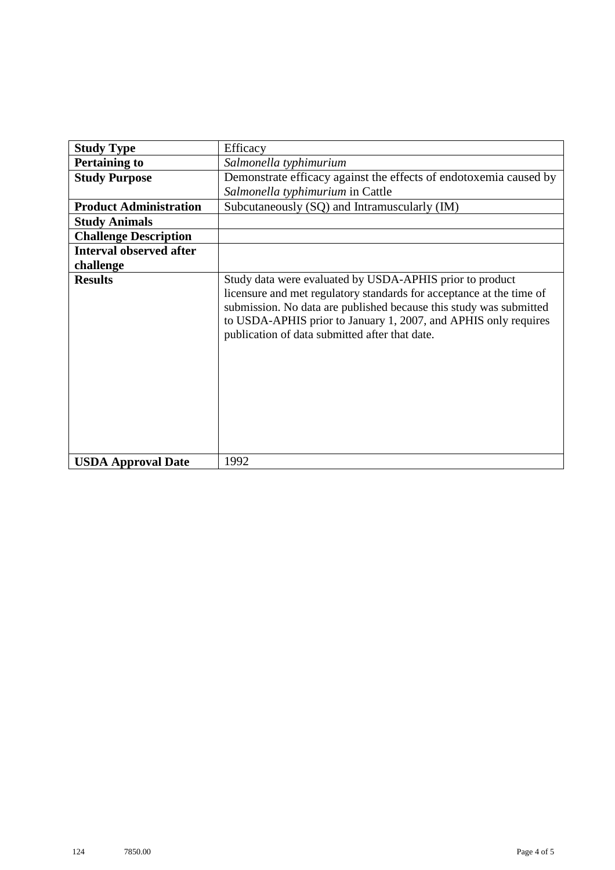| <b>Study Type</b>              | Efficacy                                                                                                                                                                                                                                                                                                                    |
|--------------------------------|-----------------------------------------------------------------------------------------------------------------------------------------------------------------------------------------------------------------------------------------------------------------------------------------------------------------------------|
| <b>Pertaining to</b>           | Salmonella typhimurium                                                                                                                                                                                                                                                                                                      |
| <b>Study Purpose</b>           | Demonstrate efficacy against the effects of endotoxemia caused by<br>Salmonella typhimurium in Cattle                                                                                                                                                                                                                       |
| <b>Product Administration</b>  | Subcutaneously (SQ) and Intramuscularly (IM)                                                                                                                                                                                                                                                                                |
| <b>Study Animals</b>           |                                                                                                                                                                                                                                                                                                                             |
| <b>Challenge Description</b>   |                                                                                                                                                                                                                                                                                                                             |
| <b>Interval observed after</b> |                                                                                                                                                                                                                                                                                                                             |
| challenge                      |                                                                                                                                                                                                                                                                                                                             |
| <b>Results</b>                 | Study data were evaluated by USDA-APHIS prior to product<br>licensure and met regulatory standards for acceptance at the time of<br>submission. No data are published because this study was submitted<br>to USDA-APHIS prior to January 1, 2007, and APHIS only requires<br>publication of data submitted after that date. |
| <b>USDA Approval Date</b>      | 1992                                                                                                                                                                                                                                                                                                                        |